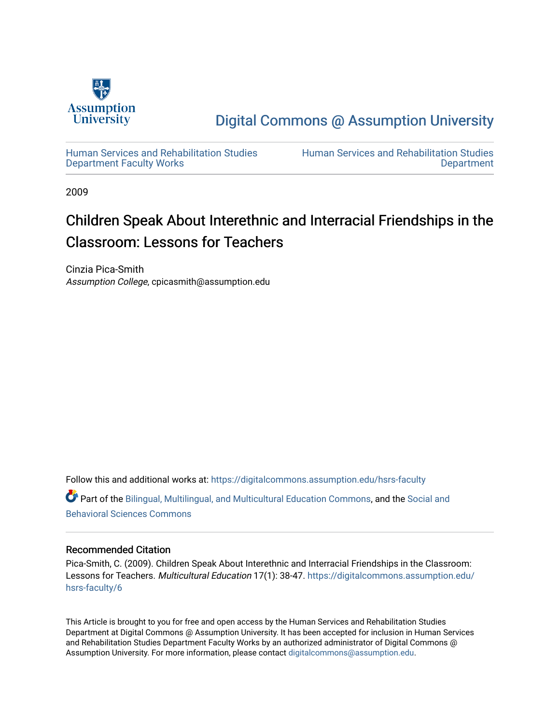

[Digital Commons @ Assumption University](https://digitalcommons.assumption.edu/) 

[Human Services and Rehabilitation Studies](https://digitalcommons.assumption.edu/hsrs-faculty)  [Department Faculty Works](https://digitalcommons.assumption.edu/hsrs-faculty)

[Human Services and Rehabilitation Studies](https://digitalcommons.assumption.edu/hsrs)  [Department](https://digitalcommons.assumption.edu/hsrs) 

2009

## Children Speak About Interethnic and Interracial Friendships in the Classroom: Lessons for Teachers

Cinzia Pica-Smith Assumption College, cpicasmith@assumption.edu

Follow this and additional works at: [https://digitalcommons.assumption.edu/hsrs-faculty](https://digitalcommons.assumption.edu/hsrs-faculty?utm_source=digitalcommons.assumption.edu%2Fhsrs-faculty%2F6&utm_medium=PDF&utm_campaign=PDFCoverPages) 

Part of the [Bilingual, Multilingual, and Multicultural Education Commons,](http://network.bepress.com/hgg/discipline/785?utm_source=digitalcommons.assumption.edu%2Fhsrs-faculty%2F6&utm_medium=PDF&utm_campaign=PDFCoverPages) and the [Social and](http://network.bepress.com/hgg/discipline/316?utm_source=digitalcommons.assumption.edu%2Fhsrs-faculty%2F6&utm_medium=PDF&utm_campaign=PDFCoverPages)  [Behavioral Sciences Commons](http://network.bepress.com/hgg/discipline/316?utm_source=digitalcommons.assumption.edu%2Fhsrs-faculty%2F6&utm_medium=PDF&utm_campaign=PDFCoverPages) 

## Recommended Citation

Pica-Smith, C. (2009). Children Speak About Interethnic and Interracial Friendships in the Classroom: Lessons for Teachers. Multicultural Education 17(1): 38-47. [https://digitalcommons.assumption.edu/](https://digitalcommons.assumption.edu/hsrs-faculty/6?utm_source=digitalcommons.assumption.edu%2Fhsrs-faculty%2F6&utm_medium=PDF&utm_campaign=PDFCoverPages) [hsrs-faculty/6](https://digitalcommons.assumption.edu/hsrs-faculty/6?utm_source=digitalcommons.assumption.edu%2Fhsrs-faculty%2F6&utm_medium=PDF&utm_campaign=PDFCoverPages) 

This Article is brought to you for free and open access by the Human Services and Rehabilitation Studies Department at Digital Commons @ Assumption University. It has been accepted for inclusion in Human Services and Rehabilitation Studies Department Faculty Works by an authorized administrator of Digital Commons @ Assumption University. For more information, please contact [digitalcommons@assumption.edu.](mailto:digitalcommons@assumption.edu)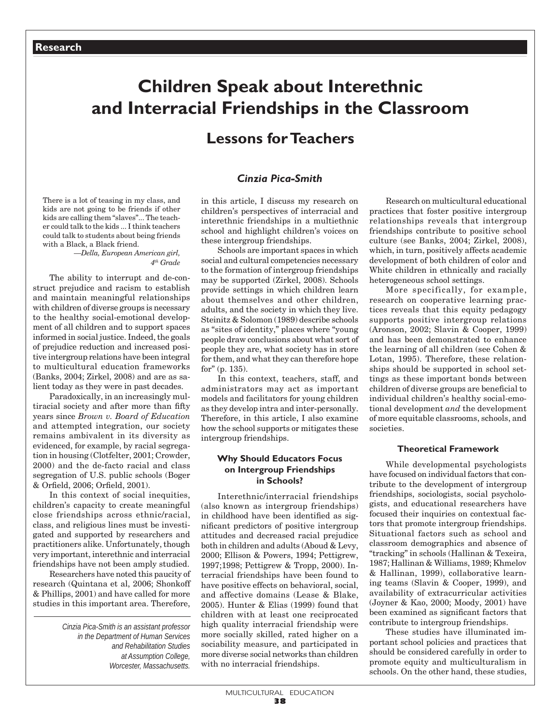# **Children Speak about Interethnic and Interracial Friendships in the Classroom**

## **Lessons for Teachers**

## *Cinzia Pica-Smith*

There is a lot of teasing in my class, and kids are not going to be friends if other kids are calling them "slaves"... The teacher could talk to the kids ... I think teachers could talk to students about being friends with a Black, a Black friend.

*—Della, European American girl, 4th Grade*

The ability to interrupt and de-construct prejudice and racism to establish and maintain meaningful relationships with children of diverse groups is necessary to the healthy social-emotional development of all children and to support spaces informed in social justice. Indeed, the goals of prejudice reduction and increased positive intergroup relations have been integral to multicultural education frameworks (Banks, 2004; Zirkel, 2008) and are as salient today as they were in past decades.

Paradoxically, in an increasingly multiracial society and after more than fifty years since *Brown v. Board of Education* and attempted integration, our society remains ambivalent in its diversity as evidenced, for example, by racial segregation in housing (Clotfelter, 2001; Crowder, 2000) and the de-facto racial and class segregation of U.S. public schools (Boger & Orfield, 2006; Orfield, 2001).

In this context of social inequities. children's capacity to create meaningful close friendships across ethnic/racial, class, and religious lines must be investigated and supported by researchers and practitioners alike. Unfortunately, though very important, interethnic and interracial friendships have not been amply studied.

Researchers have noted this paucity of research (Quintana et al, 2006; Shonkoff & Phillips, 2001) and have called for more studies in this important area. Therefore,

> *Cinzia Pica-Smith is an assistant professor in the Department of Human Services and Rehabilitation Studies at Assumption College, Worcester, Massachusetts.*

in this article, I discuss my research on children's perspectives of interracial and interethnic friendships in a multiethnic school and highlight children's voices on these intergroup friendships.

Schools are important spaces in which social and cultural competencies necessary to the formation of intergroup friendships may be supported (Zirkel, 2008). Schools provide settings in which children learn about themselves and other children, adults, and the society in which they live. Steinitz & Solomon (1989) describe schools as "sites of identity," places where "young people draw conclusions about what sort of people they are, what society has in store for them, and what they can therefore hope for" (p. 135).

In this context, teachers, staff, and administrators may act as important models and facilitators for young children as they develop intra and inter-personally. Therefore, in this article, I also examine how the school supports or mitigates these intergroup friendships.

#### **Why Should Educators Focus on Intergroup Friendships in Schools?**

Interethnic/interracial friendships (also known as intergroup friendships) in childhood have been identified as significant predictors of positive intergroup attitudes and decreased racial prejudice both in children and adults (Aboud & Levy, 2000; Ellison & Powers, 1994; Pettigrew, 1997;1998; Pettigrew & Tropp, 2000). Interracial friendships have been found to have positive effects on behavioral, social, and affective domains (Lease & Blake, 2005). Hunter & Elias (1999) found that children with at least one reciprocated high quality interracial friendship were more socially skilled, rated higher on a sociability measure, and participated in more diverse social networks than children with no interracial friendships.

Research on multicultural educational practices that foster positive intergroup relationships reveals that intergroup friendships contribute to positive school culture (see Banks, 2004; Zirkel, 2008), which, in turn, positively affects academic development of both children of color and White children in ethnically and racially heterogeneous school settings.

More specifically, for example, research on cooperative learning practices reveals that this equity pedagogy supports positive intergroup relations (Aronson, 2002; Slavin & Cooper, 1999) and has been demonstrated to enhance the learning of all children (see Cohen & Lotan, 1995). Therefore, these relationships should be supported in school settings as these important bonds between children of diverse groups are beneficial to individual children's healthy social-emotional development *and* the development of more equitable classrooms, schools, and societies.

#### **Theoretical Framework**

While developmental psychologists have focused on individual factors that contribute to the development of intergroup friendships, sociologists, social psychologists, and educational researchers have focused their inquiries on contextual factors that promote intergroup friendships. Situational factors such as school and classroom demographics and absence of "tracking" in schools (Hallinan & Texeira, 1987; Hallinan & Williams, 1989; Khmelov & Hallinan, 1999), collaborative learning teams (Slavin & Cooper, 1999), and availability of extracurricular activities (Joyner & Kao, 2000; Moody, 2001) have been examined as significant factors that contribute to intergroup friendships.

These studies have illuminated important school policies and practices that should be considered carefully in order to promote equity and multiculturalism in schools. On the other hand, these studies,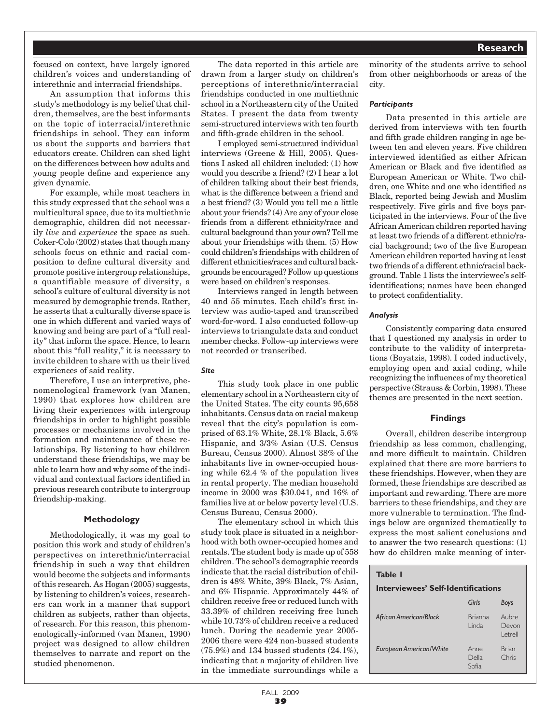focused on context, have largely ignored children's voices and understanding of interethnic and interracial friendships.

An assumption that informs this study's methodology is my belief that children, themselves, are the best informants on the topic of interracial/interethnic friendships in school. They can inform us about the supports and barriers that educators create. Children can shed light on the differences between how adults and young people define and experience any given dynamic.

For example, while most teachers in this study expressed that the school was a multicultural space, due to its multiethnic demographic, children did not necessarily *live* and *experience* the space as such. Coker-Colo (2002) states that though many schools focus on ethnic and racial composition to define cultural diversity and promote positive intergroup relationships, a quantifiable measure of diversity, a school's culture of cultural diversity is not measured by demographic trends. Rather, he asserts that a culturally diverse space is one in which different and varied ways of knowing and being are part of a "full reality" that inform the space. Hence, to learn about this "full reality," it is necessary to invite children to share with us their lived experiences of said reality.

Therefore, I use an interpretive, phenomenological framework (van Manen, 1990) that explores how children are living their experiences with intergroup friendships in order to highlight possible processes or mechanisms involved in the formation and maintenance of these relationships. By listening to how children understand these friendships, we may be able to learn how and why some of the individual and contextual factors identified in previous research contribute to intergroup friendship-making.

#### **Methodology**

Methodologically, it was my goal to position this work and study of children's perspectives on interethnic/interracial friendship in such a way that children would become the subjects and informants of this research. As Hogan (2005) suggests, by listening to children's voices, researchers can work in a manner that support children as subjects, rather than objects, of research. For this reason, this phenomenologically-informed (van Manen, 1990) project was designed to allow children themselves to narrate and report on the studied phenomenon.

The data reported in this article are drawn from a larger study on children's perceptions of interethnic/interracial friendships conducted in one multiethnic school in a Northeastern city of the United States. I present the data from twenty semi-structured interviews with ten fourth and fifth-grade children in the school.

I employed semi-structured individual interviews (Greene & Hill, 2005). Questions I asked all children included: (1) how would you describe a friend? (2) I hear a lot of children talking about their best friends, what is the difference between a friend and a best friend? (3) Would you tell me a little about your friends? (4) Are any of your close friends from a different ethnicity/race and cultural background than your own? Tell me about your friendships with them. (5) How could children's friendships with children of different ethnicities/races and cultural backgrounds be encouraged? Follow up questions were based on children's responses.

Interviews ranged in length between 40 and 55 minutes. Each child's first interview was audio-taped and transcribed word-for-word. I also conducted follow-up interviews to triangulate data and conduct member checks. Follow-up interviews were not recorded or transcribed.

#### *Site*

This study took place in one public elementary school in a Northeastern city of the United States. The city counts 95,658 inhabitants. Census data on racial makeup reveal that the city's population is comprised of 63.1% White, 28.1% Black, 5.6% Hispanic, and 3/3% Asian (U.S. Census Bureau, Census 2000). Almost 38% of the inhabitants live in owner-occupied housing while 62.4 % of the population lives in rental property. The median household income in 2000 was \$30.041, and 16% of families live at or below poverty level (U.S. Census Bureau, Census 2000).

The elementary school in which this study took place is situated in a neighborhood with both owner-occupied homes and rentals. The student body is made up of 558 children. The school's demographic records indicate that the racial distribution of children is 48% White, 39% Black, 7% Asian, and 6% Hispanic. Approximately 44% of children receive free or reduced lunch with 33.39% of children receiving free lunch while 10.73% of children receive a reduced lunch. During the academic year 2005- 2006 there were 424 non-bussed students (75.9%) and 134 bussed students (24.1%), indicating that a majority of children live in the immediate surroundings while a

minority of the students arrive to school from other neighborhoods or areas of the city.

#### *Participants*

Data presented in this article are derived from interviews with ten fourth and fifth grade children ranging in age between ten and eleven years. Five children interviewed identified as either African American or Black and five identified as European American or White. Two children, one White and one who identified as Black, reported being Jewish and Muslim respectively. Five girls and five boys participated in the interviews. Four of the five African American children reported having at least two friends of a different ethnic/racial background; two of the five European American children reported having at least two friends of a different ethnic/racial background. Table 1 lists the interviewee's selfidentifications; names have been changed to protect confidentiality.

#### *Analysis*

Consistently comparing data ensured that I questioned my analysis in order to contribute to the validity of interpretations (Boyatzis, 1998). I coded inductively, employing open and axial coding, while recognizing the influences of my theoretical perspective (Strauss & Corbin, 1998). These themes are presented in the next section.

#### **Findings**

Overall, children describe intergroup friendship as less common, challenging, and more difficult to maintain. Children explained that there are more barriers to these friendships. However, when they are formed, these friendships are described as important and rewarding. There are more barriers to these friendships, and they are more vulnerable to termination. The findings below are organized thematically to express the most salient conclusions and to answer the two research questions: (1) how do children make meaning of inter-

#### **Table 1**

#### **Interviewees' Self-Identifications**

|                                | Girls                    | <b>Boys</b>                |
|--------------------------------|--------------------------|----------------------------|
| African American/Black         | <b>Brianna</b><br>I inda | Aubre<br>Devon<br>l etrell |
| <b>European American/White</b> | Anne<br>Della<br>Sofia   | Brian<br>Chris             |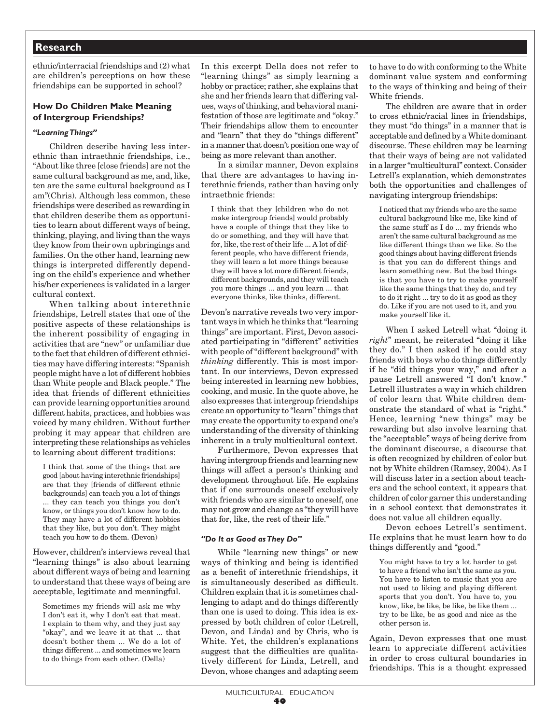ethnic/interracial friendships and (2) what are children's perceptions on how these friendships can be supported in school?

#### **How Do Children Make Meaning of Intergroup Friendships?**

#### *"Learning Things"*

Children describe having less interethnic than intraethnic friendships, i.e., "About like three [close friends] are not the same cultural background as me, and, like, ten are the same cultural background as I am"(Chris). Although less common, these friendships were described as rewarding in that children describe them as opportunities to learn about different ways of being, thinking, playing, and living than the ways they know from their own upbringings and families. On the other hand, learning new things is interpreted differently depending on the child's experience and whether his/her experiences is validated in a larger cultural context.

When talking about interethnic friendships, Letrell states that one of the positive aspects of these relationships is the inherent possibility of engaging in activities that are "new" or unfamiliar due to the fact that children of different ethnicities may have differing interests: "Spanish people might have a lot of different hobbies than White people and Black people." The idea that friends of different ethnicities can provide learning opportunities around different habits, practices, and hobbies was voiced by many children. Without further probing it may appear that children are interpreting these relationships as vehicles to learning about different traditions:

I think that some of the things that are good [about having interethnic friendships] are that they [friends of different ethnic backgrounds] can teach you a lot of things ... they can teach you things you don't know, or things you don't know how to do. They may have a lot of different hobbies that they like, but you don't. They might teach you how to do them. **(**Devon)

However, children's interviews reveal that "learning things" is also about learning about different ways of being and learning to understand that these ways of being are acceptable, legitimate and meaningful.

Sometimes my friends will ask me why I don't eat it, why I don't eat that meat. I explain to them why, and they just say "okay", and we leave it at that ... that doesn't bother them ... We do a lot of things different ... and sometimes we learn to do things from each other. (Della)

In this excerpt Della does not refer to "learning things" as simply learning a hobby or practice; rather, she explains that she and her friends learn that differing values, ways of thinking, and behavioral manifestation of those are legitimate and "okay." Their friendships allow them to encounter and "learn" that they do "things different" in a manner that doesn't position one way of being as more relevant than another.

In a similar manner, Devon explains that there are advantages to having interethnic friends, rather than having only intraethnic friends:

I think that they [children who do not make intergroup friends] would probably have a couple of things that they like to do or something, and they will have that for, like, the rest of their life ... A lot of different people, who have different friends, they will learn a lot more things because they will have a lot more different friends, different backgrounds, and they will teach you more things ... and you learn ... that everyone thinks, like thinks, different.

Devon's narrative reveals two very important ways in which he thinks that "learning things" are important. First, Devon associated participating in "different" activities with people of "different background" with *thinking* differently. This is most important. In our interviews, Devon expressed being interested in learning new hobbies, cooking, and music. In the quote above, he also expresses that intergroup friendships create an opportunity to "learn" things that may create the opportunity to expand one's understanding of the diversity of thinking inherent in a truly multicultural context.

Furthermore, Devon expresses that having intergroup friends and learning new things will affect a person's thinking and development throughout life. He explains that if one surrounds oneself exclusively with friends who are similar to oneself, one may not grow and change as "they will have that for, like, the rest of their life."

#### *"Do It as Good as They Do"*

While "learning new things" or new ways of thinking and being is identified as a benefit of interethnic friendships, it is simultaneously described as difficult. Children explain that it is sometimes challenging to adapt and do things differently than one is used to doing. This idea is expressed by both children of color (Letrell, Devon, and Linda) and by Chris, who is White. Yet, the children's explanations suggest that the difficulties are qualitatively different for Linda, Letrell, and Devon, whose changes and adapting seem

to have to do with conforming to the White dominant value system and conforming to the ways of thinking and being of their White friends.

The children are aware that in order to cross ethnic/racial lines in friendships, they must "do things" in a manner that is acceptable and defined by a White dominant discourse. These children may be learning that their ways of being are not validated in a larger "multicultural" context. Consider Letrell's explanation, which demonstrates both the opportunities and challenges of navigating intergroup friendships:

I noticed that my friends who are the same cultural background like me, like kind of the same stuff as I do ... my friends who aren't the same cultural background as me like different things than we like. So the good things about having different friends is that you can do different things and learn something new. But the bad things is that you have to try to make yourself like the same things that they do, and try to do it right ... try to do it as good as they do. Like if you are not used to it, and you make yourself like it.

When I asked Letrell what "doing it *right*" meant, he reiterated "doing it like they do." I then asked if he could stay friends with boys who do things differently if he "did things your way," and after a pause Letrell answered "I don't know." Letrell illustrates a way in which children of color learn that White children demonstrate the standard of what is "right." Hence, learning "new things" may be rewarding but also involve learning that the "acceptable" ways of being derive from the dominant discourse, a discourse that is often recognized by children of color but not by White children (Ramsey, 2004). As I will discuss later in a section about teachers and the school context, it appears that children of color garner this understanding in a school context that demonstrates it does not value all children equally.

Devon echoes Letrell's sentiment. He explains that he must learn how to do things differently and "good."

You might have to try a lot harder to get to have a friend who isn't the same as you. You have to listen to music that you are not used to liking and playing different sports that you don't. You have to, you know, like, be like, be like, be like them ... try to be like, be as good and nice as the other person is.

Again, Devon expresses that one must learn to appreciate different activities in order to cross cultural boundaries in friendships. This is a thought expressed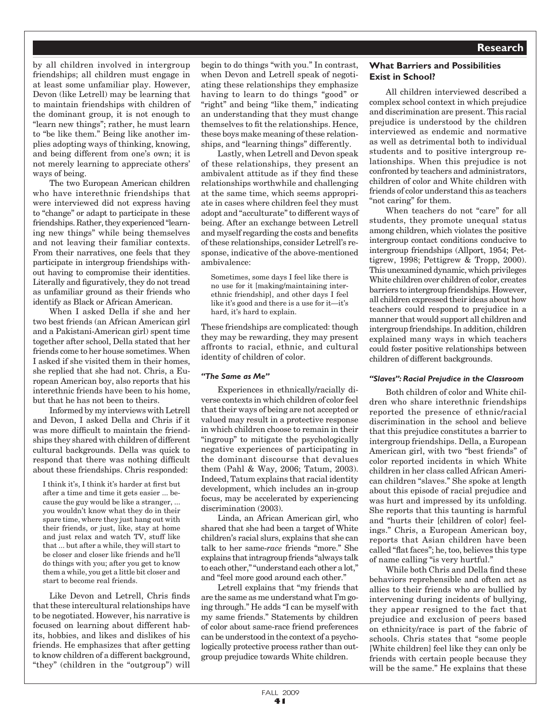by all children involved in intergroup friendships; all children must engage in at least some unfamiliar play. However, Devon (like Letrell) may be learning that to maintain friendships with children of the dominant group, it is not enough to "learn new things"; rather, he must learn to "be like them." Being like another implies adopting ways of thinking, knowing, and being different from one's own; it is not merely learning to appreciate others' ways of being.

The two European American children who have interethnic friendships that were interviewed did not express having to "change" or adapt to participate in these friendships. Rather, they experienced "learning new things" while being themselves and not leaving their familiar contexts. From their narratives, one feels that they participate in intergroup friendships without having to compromise their identities. Literally and figuratively, they do not tread as unfamiliar ground as their friends who identify as Black or African American.

When I asked Della if she and her two best friends (an African American girl and a Pakistani-American girl) spent time together after school, Della stated that her friends come to her house sometimes. When I asked if she visited them in their homes, she replied that she had not. Chris, a European American boy, also reports that his interethnic friends have been to his home, but that he has not been to theirs.

Informed by my interviews with Letrell and Devon, I asked Della and Chris if it was more difficult to maintain the friendships they shared with children of different cultural backgrounds. Della was quick to respond that there was nothing difficult about these friendships. Chris responded:

I think it's, I think it's harder at first but after a time and time it gets easier ... because the guy would be like a stranger, ... you wouldn't know what they do in their spare time, where they just hang out with their friends, or just, like, stay at home and just relax and watch TV, stuff like that ... but after a while, they will start to be closer and closer like friends and he'll do things with you; after you get to know them a while, you get a little bit closer and start to become real friends.

Like Devon and Letrell, Chris finds that these intercultural relationships have to be negotiated. However, his narrative is focused on learning about different habits, hobbies, and likes and dislikes of his friends. He emphasizes that after getting to know children of a different background, "they" (children in the "outgroup") will

begin to do things "with you." In contrast, when Devon and Letrell speak of negotiating these relationships they emphasize having to learn to do things "good" or "right" and being "like them," indicating an understanding that they must change themselves to fit the relationships. Hence, these boys make meaning of these relationships, and "learning things" differently.

Lastly, when Letrell and Devon speak of these relationships, they present an ambivalent attitude as if they find these relationships worthwhile and challenging at the same time, which seems appropriate in cases where children feel they must adopt and "acculturate" to different ways of being. After an exchange between Letrell and myself regarding the costs and benefits of these relationships, consider Letrell's response, indicative of the above-mentioned ambivalence:

Sometimes, some days I feel like there is no use for it [making/maintaining interethnic friendship], and other days I feel like it's good and there is a use for it—it's hard, it's hard to explain.

These friendships are complicated: though they may be rewarding, they may present affronts to racial, ethnic, and cultural identity of children of color.

#### *"The Same as Me"*

Experiences in ethnically/racially diverse contexts in which children of color feel that their ways of being are not accepted or valued may result in a protective response in which children choose to remain in their "ingroup" to mitigate the psychologically negative experiences of participating in the dominant discourse that devalues them (Pahl & Way, 2006; Tatum, 2003). Indeed, Tatum explains that racial identity development, which includes an in-group focus, may be accelerated by experiencing discrimination (2003).

Linda, an African American girl, who shared that she had been a target of White children's racial slurs, explains that she can talk to her same-*race* friends "more." She explains that intragroup friends "always talk to each other," "understand each other a lot," and "feel more good around each other."

Letrell explains that "my friends that are the same as me understand what I'm going through." He adds "I can be myself with my same friends." Statements by children of color about same-race friend preferences can be understood in the context of a psychologically protective process rather than outgroup prejudice towards White children.

## **What Barriers and Possibilities Exist in School?**

All children interviewed described a complex school context in which prejudice and discrimination are present. This racial prejudice is understood by the children interviewed as endemic and normative as well as detrimental both to individual students and to positive intergroup relationships. When this prejudice is not confronted by teachers and administrators, children of color and White children with friends of color understand this as teachers "not caring" for them.

When teachers do not "care" for all students, they promote unequal status among children, which violates the positive intergroup contact conditions conducive to intergroup friendships (Allport, 1954; Pettigrew, 1998; Pettigrew & Tropp, 2000). This unexamined dynamic, which privileges White children over children of color, creates barriers to intergroup friendships. However, all children expressed their ideas about how teachers could respond to prejudice in a manner that would support all children and intergroup friendships. In addition, children explained many ways in which teachers could foster positive relationships between children of different backgrounds.

#### *"Slaves": Racial Prejudice in the Classroom*

Both children of color and White children who share interethnic friendships reported the presence of ethnic/racial discrimination in the school and believe that this prejudice constitutes a barrier to intergroup friendships. Della, a European American girl, with two "best friends" of color reported incidents in which White children in her class called African American children "slaves." She spoke at length about this episode of racial prejudice and was hurt and impressed by its unfolding. She reports that this taunting is harmful and "hurts their [children of color] feelings." Chris, a European American boy, reports that Asian children have been called "flat faces"; he, too, believes this type of name calling "is very hurtful."

While both Chris and Della find these behaviors reprehensible and often act as allies to their friends who are bullied by intervening during incidents of bullying, they appear resigned to the fact that prejudice and exclusion of peers based on ethnicity/race is part of the fabric of schools. Chris states that "some people [White children] feel like they can only be friends with certain people because they will be the same." He explains that these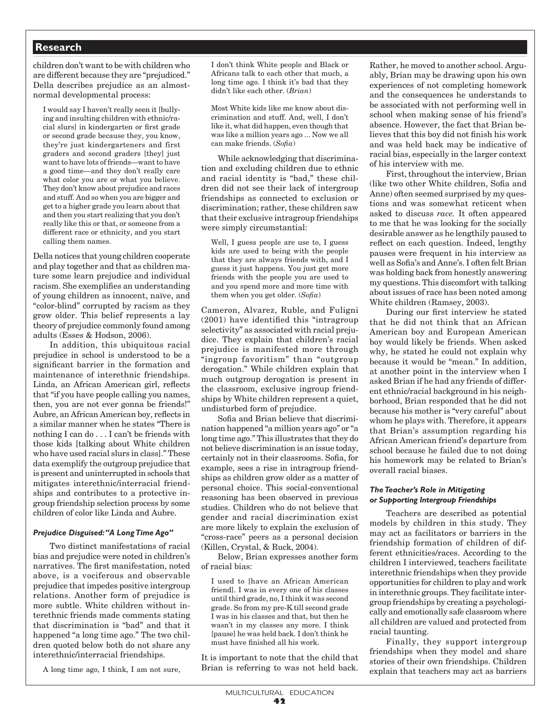children don't want to be with children who are different because they are "prejudiced." Della describes prejudice as an almostnormal developmental process:

I would say I haven't really seen it [bullying and insulting children with ethnic/racial slurs] in kindergarten or first grade or second grade because they, you know, they're just kindergarteners and first graders and second graders [they] just want to have lots of friends—want to have a good time—and they don't really care what color you are or what you believe. They don't know about prejudice and races and stuff. And so when you are bigger and get to a higher grade you learn about that and then you start realizing that you don't really like this or that, or someone from a different race or ethnicity, and you start calling them names.

Della notices that young children cooperate and play together and that as children mature some learn prejudice and individual racism. She exemplifies an understanding of young children as innocent, naïve, and "color-blind" corrupted by racism as they grow older. This belief represents a lay theory of prejudice commonly found among adults (Esses & Hodson, 2006).

In addition, this ubiquitous racial prejudice in school is understood to be a significant barrier in the formation and maintenance of interethnic friendships. Linda, an African American girl, reflects that "if you have people calling you names, then, you are not ever gonna be friends!" Aubre, an African American boy, reflects in a similar manner when he states "There is nothing I can do . . . I can't be friends with those kids [talking about White children who have used racial slurs in class]." These data exemplify the outgroup prejudice that is present and uninterrupted in schools that mitigates interethnic/interracial friendships and contributes to a protective ingroup friendship selection process by some children of color like Linda and Aubre.

#### *Prejudice Disguised: "A Long Time Ago"*

Two distinct manifestations of racial bias and prejudice were noted in children's narratives. The first manifestation, noted above, is a vociferous and observable prejudice that impedes positive intergroup relations. Another form of prejudice is more subtle. White children without interethnic friends made comments stating that discrimination is "bad" and that it happened "a long time ago." The two children quoted below both do not share any interethnic/interracial friendships.

A long time ago, I think, I am not sure,

I don't think White people and Black or Africans talk to each other that much, a long time ago. I think it's bad that they didn't like each other. (*Brian*)

Most White kids like me know about discrimination and stuff. And, well, I don't like it, what did happen, even though that was like a million years ago ... Now we all can make friends. (*Sofia*)

While acknowledging that discrimination and excluding children due to ethnic and racial identity is "bad," these children did not see their lack of intergroup friendships as connected to exclusion or discrimination; rather, these children saw that their exclusive intragroup friendships were simply circumstantial:

Well, I guess people are use to, I guess kids are used to being with the people that they are always friends with, and I guess it just happens. You just get more friends with the people you are used to and you spend more and more time with them when you get older. (*Sofia*)

Cameron, Alvarez, Ruble, and Fuligni (2001) have identified this "intragroup selectivity" as associated with racial prejudice. They explain that children's racial prejudice is manifested more through "ingroup favoritism" than "outgroup derogation." While children explain that much outgroup derogation is present in the classroom, exclusive ingroup friendships by White children represent a quiet, undisturbed form of prejudice.

Sofia and Brian believe that discrimination happened "a million years ago" or "a long time ago." This illustrates that they do not believe discrimination is an issue today, certainly not in their classrooms. Sofia, for example, sees a rise in intragroup friendships as children grow older as a matter of personal choice. This social-conventional reasoning has been observed in previous studies. Children who do not believe that gender and racial discrimination exist are more likely to explain the exclusion of "cross-race" peers as a personal decision (Killen, Crystal, & Ruck, 2004).

Below, Brian expresses another form of racial bias:

I used to [have an African American friend]. I was in every one of his classes until third grade, no, I think it was second grade. So from my pre-K till second grade I was in his classes and that, but then he wasn't in my classes any more. I think [pause] he was held back. I don't think he must have finished all his work.

It is important to note that the child that Brian is referring to was not held back.

Rather, he moved to another school. Arguably, Brian may be drawing upon his own experiences of not completing homework and the consequences he understands to be associated with not performing well in school when making sense of his friend's absence. However, the fact that Brian believes that this boy did not finish his work and was held back may be indicative of racial bias, especially in the larger context of his interview with me.

First, throughout the interview, Brian (like two other White children, Sofia and Anne) often seemed surprised by my questions and was somewhat reticent when asked to discuss *race.* It often appeared to me that he was looking for the socially desirable answer as he lengthily paused to reflect on each question. Indeed, lengthy pauses were frequent in his interview as well as Sofia's and Anne's. I often felt Brian was holding back from honestly answering my questions. This discomfort with talking about issues of race has been noted among White children (Ramsey, 2003).

 During our first interview he stated that he did not think that an African American boy and European American boy would likely be friends. When asked why, he stated he could not explain why because it would be "mean." In addition, at another point in the interview when I asked Brian if he had any friends of different ethnic/racial background in his neighborhood, Brian responded that he did not because his mother is "very careful" about whom he plays with. Therefore, it appears that Brian's assumption regarding his African American friend's departure from school because he failed due to not doing his homework may be related to Brian's overall racial biases.

#### *The Teacher's Role in Mitigating or Supporting Intergroup Friendships*

Teachers are described as potential models by children in this study. They may act as facilitators or barriers in the friendship formation of children of different ethnicities/races. According to the children I interviewed, teachers facilitate interethnic friendships when they provide opportunities for children to play and work in interethnic groups. They facilitate intergroup friendships by creating a psychologically and emotionally safe classroom where all children are valued and protected from racial taunting.

Finally, they support intergroup friendships when they model and share stories of their own friendships. Children explain that teachers may act as barriers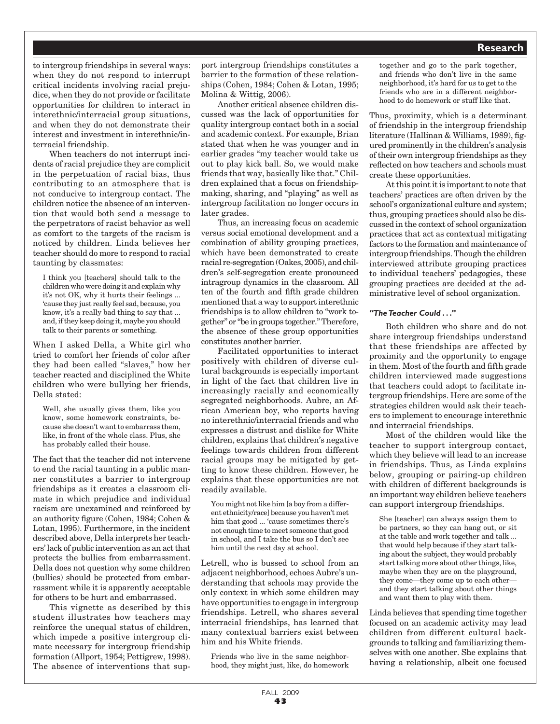to intergroup friendships in several ways: when they do not respond to interrupt critical incidents involving racial prejudice, when they do not provide or facilitate opportunities for children to interact in interethnic/interracial group situations, and when they do not demonstrate their interest and investment in interethnic/interracial friendship.

When teachers do not interrupt incidents of racial prejudice they are complicit in the perpetuation of racial bias, thus contributing to an atmosphere that is not conducive to intergroup contact. The children notice the absence of an intervention that would both send a message to the perpetrators of racist behavior as well as comfort to the targets of the racism is noticed by children. Linda believes her teacher should do more to respond to racial taunting by classmates:

I think you [teachers] should talk to the children who were doing it and explain why it's not OK, why it hurts their feelings ... 'cause they just really feel sad, because, you know, it's a really bad thing to say that ... and, if they keep doing it, maybe you should talk to their parents or something.

When I asked Della, a White girl who tried to comfort her friends of color after they had been called "slaves," how her teacher reacted and disciplined the White children who were bullying her friends, Della stated:

Well, she usually gives them, like you know, some homework constraints, because she doesn't want to embarrass them, like, in front of the whole class. Plus, she has probably called their house.

The fact that the teacher did not intervene to end the racial taunting in a public manner constitutes a barrier to intergroup friendships as it creates a classroom climate in which prejudice and individual racism are unexamined and reinforced by an authority figure (Cohen, 1984; Cohen & Lotan, 1995). Furthermore, in the incident described above, Della interprets her teachers' lack of public intervention as an act that protects the bullies from embarrassment. Della does not question why some children (bullies) should be protected from embarrassment while it is apparently acceptable for others to be hurt and embarrassed.

This vignette as described by this student illustrates how teachers may reinforce the unequal status of children, which impede a positive intergroup climate necessary for intergroup friendship formation (Allport, 1954; Pettigrew, 1998). The absence of interventions that sup-

port intergroup friendships constitutes a barrier to the formation of these relationships (Cohen, 1984; Cohen & Lotan, 1995; Molina & Wittig, 2006).

Another critical absence children discussed was the lack of opportunities for quality intergroup contact both in a social and academic context. For example, Brian stated that when he was younger and in earlier grades "my teacher would take us out to play kick ball. So, we would make friends that way, basically like that." Children explained that a focus on friendshipmaking, sharing, and "playing" as well as intergroup facilitation no longer occurs in later grades.

Thus, an increasing focus on academic versus social emotional development and a combination of ability grouping practices, which have been demonstrated to create racial re-segregation (Oakes, 2005), and children's self-segregation create pronounced intragroup dynamics in the classroom. All ten of the fourth and fifth grade children mentioned that a way to support interethnic friendships is to allow children to "work together" or "be in groups together." Therefore, the absence of these group opportunities constitutes another barrier.

Facilitated opportunities to interact positively with children of diverse cultural backgrounds is especially important in light of the fact that children live in increasingly racially and economically segregated neighborhoods. Aubre, an African American boy, who reports having no interethnic/interracial friends and who expresses a distrust and dislike for White children, explains that children's negative feelings towards children from different racial groups may be mitigated by getting to know these children. However, he explains that these opportunities are not readily available.

You might not like him [a boy from a different ethnicity/race] because you haven't met him that good ... 'cause sometimes there's not enough time to meet someone that good in school, and I take the bus so I don't see him until the next day at school.

Letrell, who is bussed to school from an adjacent neighborhood, echoes Aubre's understanding that schools may provide the only context in which some children may have opportunities to engage in intergroup friendships. Letrell, who shares several interracial friendships, has learned that many contextual barriers exist between him and his White friends.

Friends who live in the same neighborhood, they might just, like, do homework together and go to the park together, and friends who don't live in the same neighborhood, it's hard for us to get to the friends who are in a different neighborhood to do homework or stuff like that.

Thus, proximity, which is a determinant of friendship in the intergroup friendship literature (Hallinan & Williams, 1989), figured prominently in the children's analysis of their own intergroup friendships as they reflected on how teachers and schools must create these opportunities.

At this point it is important to note that teachers' practices are often driven by the school's organizational culture and system; thus, grouping practices should also be discussed in the context of school organization practices that act as contextual mitigating factors to the formation and maintenance of intergroup friendships. Though the children interviewed attribute grouping practices to individual teachers' pedagogies, these grouping practices are decided at the administrative level of school organization.

#### *"The Teacher Could . . ."*

Both children who share and do not share intergroup friendships understand that these friendships are affected by proximity and the opportunity to engage in them. Most of the fourth and fifth grade children interviewed made suggestions that teachers could adopt to facilitate intergroup friendships. Here are some of the strategies children would ask their teachers to implement to encourage interethnic and interracial friendships.

Most of the children would like the teacher to support intergroup contact, which they believe will lead to an increase in friendships. Thus, as Linda explains below, grouping or pairing-up children with children of different backgrounds is an important way children believe teachers can support intergroup friendships.

She [teacher] can always assign them to be partners, so they can hang out, or sit at the table and work together and talk ... that would help because if they start talking about the subject, they would probably start talking more about other things, like, maybe when they are on the playground, they come—they come up to each other and they start talking about other things and want them to play with them.

Linda believes that spending time together focused on an academic activity may lead children from different cultural backgrounds to talking and familiarizing themselves with one another. She explains that having a relationship, albeit one focused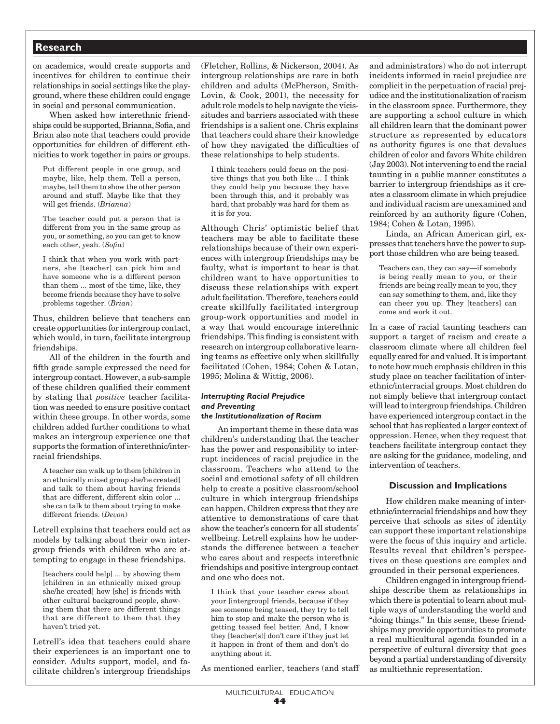on academics, would create supports and incentives for children to continue their relationships in social settings like the playground, where these children could engage in social and personal communication.

When asked how interethnic friendships could be supported, Brianna, Sofia, and Brian also note that teachers could provide opportunities for children of different ethnicities to work together in pairs or groups.

Put different people in one group, and maybe, like, help them. Tell a person, maybe, tell them to show the other person around and stuff. Maybe like that they will get friends. (*Brianna*)

The teacher could put a person that is different from you in the same group as you, or something, so you can get to know each other, yeah. (*Sofia*)

I think that when you work with partners, she [teacher] can pick him and have someone who is a different person than them ... most of the time, like, they become friends because they have to solve problems together. (*Brian*)

Thus, children believe that teachers can create opportunities for intergroup contact, which would, in turn, facilitate intergroup friendships.

All of the children in the fourth and fifth grade sample expressed the need for intergroup contact. However, a sub-sample of these children qualified their comment by stating that *positive* teacher facilitation was needed to ensure positive contact within these groups. In other words, some children added further conditions to what makes an intergroup experience one that supports the formation of interethnic/interracial friendships.

A teacher can walk up to them [children in an ethnically mixed group she/he created] and talk to them about having friends that are different, different skin color ... she can talk to them about trying to make different friends. (*Devon*)

Letrell explains that teachers could act as models by talking about their own intergroup friends with children who are attempting to engage in these friendships.

[teachers could help] ... by showing them [children in an ethnically mixed group she/he created] how [she] is friends with other cultural background people, showing them that there are different things that are different to them that they haven't tried yet.

Letrell's idea that teachers could share their experiences is an important one to consider. Adults support, model, and facilitate children's intergroup friendships (Fletcher, Rollins, & Nickerson, 2004). As intergroup relationships are rare in both children and adults (McPherson, Smith-Lovin, & Cook, 2001), the necessity for adult role models to help navigate the vicissitudes and barriers associated with these friendships is a salient one. Chris explains that teachers could share their knowledge of how they navigated the difficulties of these relationships to help students.

I think teachers could focus on the positive things that you both like ... I think they could help you because they have been through this, and it probably was hard, that probably was hard for them as it is for you.

Although Chris' optimistic belief that teachers may be able to facilitate these relationships because of their own experiences with intergroup friendships may be faulty, what is important to hear is that children want to have opportunities to discuss these relationships with expert adult facilitation. Therefore, teachers could create skillfully facilitated intergroup group-work opportunities and model in a way that would encourage interethnic friendships. This finding is consistent with research on intergroup collaborative learning teams as effective only when skillfully facilitated (Cohen, 1984; Cohen & Lotan, 1995; Molina & Wittig, 2006).

## *Interrupting Racial Prejudice and Preventing*

## *the Institutionalization of Racism*

An important theme in these data was children's understanding that the teacher has the power and responsibility to interrupt incidences of racial prejudice in the classroom. Teachers who attend to the social and emotional safety of all children help to create a positive classroom/school culture in which intergroup friendships can happen. Children express that they are attentive to demonstrations of care that show the teacher's concern for all students' wellbeing. Letrell explains how he understands the difference between a teacher who cares about and respects interethnic friendships and positive intergroup contact and one who does not.

I think that your teacher cares about your [intergroup] friends, because if they see someone being teased, they try to tell him to stop and make the person who is getting teased feel better. And, I know they [teacher(s)] don't care if they just let it happen in front of them and don't do anything about it.

As mentioned earlier, teachers (and staff

and administrators) who do not interrupt incidents informed in racial prejudice are complicit in the perpetuation of racial prejudice and the institutionalization of racism in the classroom space. Furthermore, they are supporting a school culture in which all children learn that the dominant power structure as represented by educators as authority figures is one that devalues children of color and favors White children (Jay 2003). Not intervening to end the racial taunting in a public manner constitutes a barrier to intergroup friendships as it creates a classroom climate in which prejudice and individual racism are unexamined and reinforced by an authority figure (Cohen, 1984; Cohen & Lotan, 1995).

Linda, an African American girl, expresses that teachers have the power to support those children who are being teased.

Teachers can, they can say—if somebody is being really mean to you, or their friends are being really mean to you, they can say something to them, and, like they can cheer you up. They [teachers] can come and work it out.

In a case of racial taunting teachers can support a target of racism and create a classroom climate where all children feel equally cared for and valued. It is important to note how much emphasis children in this study place on teacher facilitation of interethnic/interracial groups. Most children do not simply believe that intergroup contact will lead to intergroup friendships. Children have experienced intergroup contact in the school that has replicated a larger context of oppression. Hence, when they request that teachers facilitate intergroup contact they are asking for the guidance, modeling, and intervention of teachers.

#### **Discussion and Implications**

How children make meaning of interethnic/interracial friendships and how they perceive that schools as sites of identity can support these important relationships were the focus of this inquiry and article. Results reveal that children's perspectives on these questions are complex and grounded in their personal experiences.

Children engaged in intergroup friendships describe them as relationships in which there is potential to learn about multiple ways of understanding the world and "doing things." In this sense, these friendships may provide opportunities to promote a real multicultural agenda founded in a perspective of cultural diversity that goes beyond a partial understanding of diversity as multiethnic representation.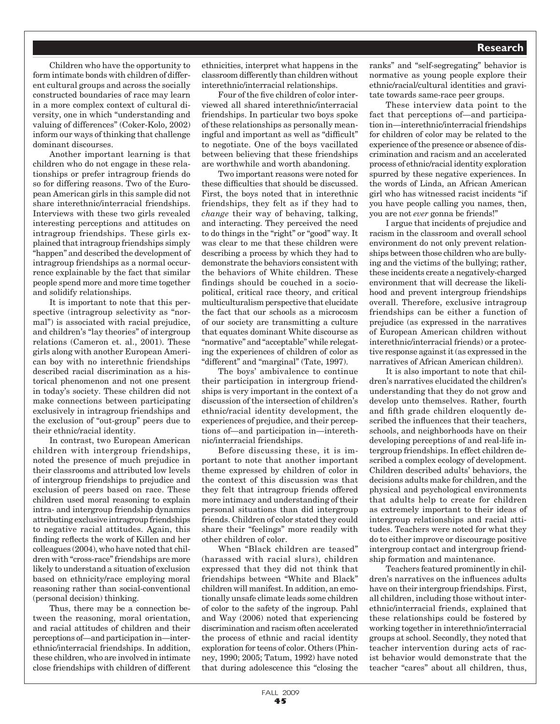Children who have the opportunity to form intimate bonds with children of different cultural groups and across the socially constructed boundaries of race may learn in a more complex context of cultural diversity, one in which "understanding and valuing of differences" (Coker-Kolo, 2002) inform our ways of thinking that challenge dominant discourses.

Another important learning is that children who do not engage in these relationships or prefer intragroup friends do so for differing reasons. Two of the European American girls in this sample did not share interethnic/interracial friendships. Interviews with these two girls revealed interesting perceptions and attitudes on intragroup friendships. These girls explained that intragroup friendships simply "happen" and described the development of intragroup friendships as a normal occurrence explainable by the fact that similar people spend more and more time together and solidify relationships.

It is important to note that this perspective (intragroup selectivity as "normal") is associated with racial prejudice, and children's "lay theories" of intergroup relations (Cameron et. al., 2001). These girls along with another European American boy with no interethnic friendships described racial discrimination as a historical phenomenon and not one present in today's society. These children did not make connections between participating exclusively in intragroup friendships and the exclusion of "out-group" peers due to their ethnic/racial identity.

In contrast, two European American children with intergroup friendships, noted the presence of much prejudice in their classrooms and attributed low levels of intergroup friendships to prejudice and exclusion of peers based on race. These children used moral reasoning to explain intra- and intergroup friendship dynamics attributing exclusive intragroup friendships to negative racial attitudes. Again, this finding reflects the work of Killen and her colleagues (2004), who have noted that children with "cross-race" friendships are more likely to understand a situation of exclusion based on ethnicity/race employing moral reasoning rather than social-conventional (personal decision) thinking.

Thus, there may be a connection between the reasoning, moral orientation, and racial attitudes of children and their perceptions of—and participation in—interethnic/interracial friendships. In addition, these children, who are involved in intimate close friendships with children of different ethnicities, interpret what happens in the classroom differently than children without interethnic/interracial relationships.

Four of the five children of color interviewed all shared interethnic/interracial friendships. In particular two boys spoke of these relationships as personally meaningful and important as well as "difficult" to negotiate. One of the boys vacillated between believing that these friendships are worthwhile and worth abandoning.

Two important reasons were noted for these difficulties that should be discussed. First, the boys noted that in interethnic friendships, they felt as if they had to *change* their way of behaving, talking, and interacting. They perceived the need to do things in the "right" or "good" way. It was clear to me that these children were describing a process by which they had to demonstrate the behaviors consistent with the behaviors of White children. These findings should be couched in a sociopolitical, critical race theory, and critical multiculturalism perspective that elucidate the fact that our schools as a microcosm of our society are transmitting a culture that equates dominant White discourse as "normative" and "acceptable" while relegating the experiences of children of color as "different" and "marginal" (Tate, 1997).

The boys' ambivalence to continue their participation in intergroup friendships is very important in the context of a discussion of the intersection of children's ethnic/racial identity development, the experiences of prejudice, and their perceptions of—and participation in—interethnic/interracial friendships.

Before discussing these, it is important to note that another important theme expressed by children of color in the context of this discussion was that they felt that intragroup friends offered more intimacy and understanding of their personal situations than did intergroup friends. Children of color stated they could share their "feelings" more readily with other children of color.

When "Black children are teased" (harassed with racial slurs), children expressed that they did not think that friendships between "White and Black" children will manifest. In addition, an emotionally unsafe climate leads some children of color to the safety of the ingroup. Pahl and Way (2006) noted that experiencing discrimination and racism often accelerated the process of ethnic and racial identity exploration for teens of color. Others (Phinney, 1990; 2005; Tatum, 1992) have noted that during adolescence this "closing the

ranks" and "self-segregating" behavior is normative as young people explore their ethnic/racial/cultural identities and gravitate towards same-race peer groups.

These interview data point to the fact that perceptions of—and participation in—interethnic/interracial friendships for children of color may be related to the experience of the presence or absence of discrimination and racism and an accelerated process of ethnic/racial identity exploration spurred by these negative experiences. In the words of Linda, an African American girl who has witnessed racist incidents "if you have people calling you names, then, you are not *ever* gonna be friends!"

I argue that incidents of prejudice and racism in the classroom and overall school environment do not only prevent relationships between those children who are bullying and the victims of the bullying; rather, these incidents create a negatively-charged environment that will decrease the likelihood and prevent intergroup friendships overall. Therefore, exclusive intragroup friendships can be either a function of prejudice (as expressed in the narratives of European American children without interethnic/interracial friends) or a protective response against it (as expressed in the narratives of African American children).

It is also important to note that children's narratives elucidated the children's understanding that they do not grow and develop unto themselves. Rather, fourth and fifth grade children eloquently described the influences that their teachers, schools, and neighborhoods have on their developing perceptions of and real-life intergroup friendships. In effect children described a complex ecology of development. Children described adults' behaviors, the decisions adults make for children, and the physical and psychological environments that adults help to create for children as extremely important to their ideas of intergroup relationships and racial attitudes. Teachers were noted for what they do to either improve or discourage positive intergroup contact and intergroup friendship formation and maintenance.

Teachers featured prominently in children's narratives on the influences adults have on their intergroup friendships. First, all children, including those without interethnic/interracial friends, explained that these relationships could be fostered by working together in interethnic/interracial groups at school. Secondly, they noted that teacher intervention during acts of racist behavior would demonstrate that the teacher "cares" about all children, thus,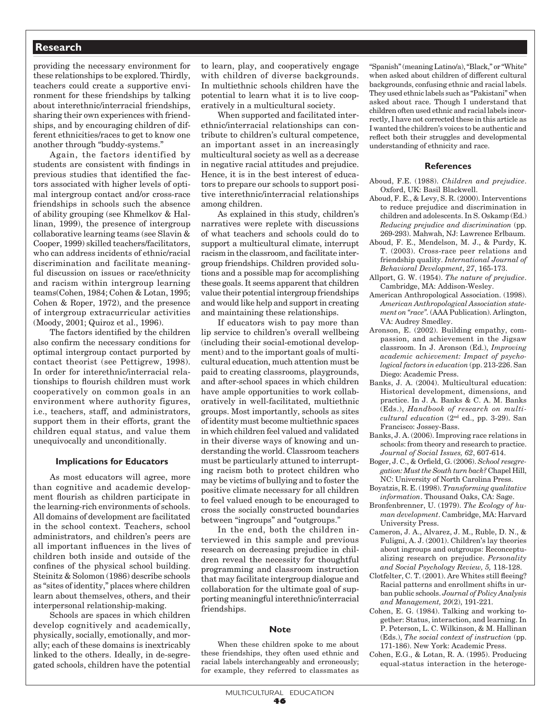providing the necessary environment for these relationships to be explored. Thirdly, teachers could create a supportive environment for these friendships by talking about interethnic/interracial friendships, sharing their own experiences with friendships, and by encouraging children of different ethnicities/races to get to know one another through "buddy-systems."

Again, the factors identified by students are consistent with findings in previous studies that identified the factors associated with higher levels of optimal intergroup contact and/or cross-race friendships in schools such the absence of ability grouping (see Khmelkov & Hallinan, 1999), the presence of intergroup collaborative learning teams (see Slavin & Cooper, 1999) skilled teachers/facilitators, who can address incidents of ethnic/racial discrimination and facilitate meaningful discussion on issues or race/ethnicity and racism within intergroup learning teams(Cohen, 1984; Cohen & Lotan, 1995; Cohen & Roper, 1972), and the presence of intergroup extracurricular activities (Moody, 2001; Quiroz et al., 1996).

 The factors identified by the children also confirm the necessary conditions for optimal intergroup contact purported by contact theorist (see Pettigrew, 1998). In order for interethnic/interracial relationships to flourish children must work cooperatively on common goals in an environment where authority figures, i.e., teachers, staff, and administrators, support them in their efforts, grant the children equal status, and value them unequivocally and unconditionally.

#### **Implications for Educators**

As most educators will agree, more than cognitive and academic development flourish as children participate in the learning-rich environments of schools. All domains of development are facilitated in the school context. Teachers, school administrators, and children's peers are all important influences in the lives of children both inside and outside of the confines of the physical school building. Steinitz & Solomon (1986) describe schools as "sites of identity," places where children learn about themselves, others, and their interpersonal relationship-making.

Schools are spaces in which children develop cognitively and academically, physically, socially, emotionally, and morally; each of these domains is inextricably linked to the others. Ideally, in de-segregated schools, children have the potential

to learn, play, and cooperatively engage with children of diverse backgrounds. In multiethnic schools children have the potential to learn what it is to live cooperatively in a multicultural society.

When supported and facilitated interethnic/interracial relationships can contribute to children's cultural competence, an important asset in an increasingly multicultural society as well as a decrease in negative racial attitudes and prejudice. Hence, it is in the best interest of educators to prepare our schools to support positive interethnic/interracial relationships among children.

As explained in this study, children's narratives were replete with discussions of what teachers and schools could do to support a multicultural climate, interrupt racism in the classroom, and facilitate intergroup friendships. Children provided solutions and a possible map for accomplishing these goals. It seems apparent that children value their potential intergroup friendships and would like help and support in creating and maintaining these relationships.

If educators wish to pay more than lip service to children's overall wellbeing (including their social-emotional development) and to the important goals of multicultural education, much attention must be paid to creating classrooms, playgrounds, and after-school spaces in which children have ample opportunities to work collaboratively in well-facilitated, multiethnic groups. Most importantly, schools as sites of identity must become multiethnic spaces in which children feel valued and validated in their diverse ways of knowing and understanding the world. Classroom teachers must be particularly attuned to interrupting racism both to protect children who may be victims of bullying and to foster the positive climate necessary for all children to feel valued enough to be encouraged to cross the socially constructed boundaries between "ingroups" and "outgroups."

In the end, both the children interviewed in this sample and previous research on decreasing prejudice in children reveal the necessity for thoughtful programming and classroom instruction that may facilitate intergroup dialogue and collaboration for the ultimate goal of supporting meaningful interethnic/interracial friendships.

#### **Note**

When these children spoke to me about these friendships, they often used ethnic and racial labels interchangeably and erroneously; for example, they referred to classmates as "Spanish" (meaning Latino/a), "Black," or "White" when asked about children of different cultural backgrounds, confusing ethnic and racial labels. They used ethnic labels such as "Pakistani" when asked about race. Though I understand that children often used ethnic and racial labels incorrectly, I have not corrected these in this article as I wanted the children's voices to be authentic and reflect both their struggles and developmental understanding of ethnicity and race.

#### **References**

- Aboud, F.E. (1988). *Children and prejudice*. Oxford, UK: Basil Blackwell.
- Aboud, F. E., & Levy, S. R. (2000). Interventions to reduce prejudice and discrimination in children and adolescents. In S. Oskamp (Ed.) *Reducing prejudice and discrimination* (pp. 269-293). Mahwah, NJ: Lawrence Erlbaum.
- Aboud, F. E., Mendelson, M. J., & Purdy, K. T. (2003). Cross-race peer relations and friendship quality. *International Journal of Behavioral Development*, *27*, 165-173.
- Allport, G. W. (1954). *The nature of prejudice*. Cambridge, MA: Addison-Wesley.
- American Anthropological Association. (1998). *American Anthropological Association statement on "race".* (AAA Publication). Arlington, VA: Audrey Smedley.
- Aronson, E. (2002). Building empathy, compassion, and achievement in the Jigsaw classroom. In J. Aronson (Ed.), *Improving academic achievement: Impact of psychological factors in education* (pp. 213-226. San Diego: Academic Press.
- Banks, J. A. (2004). Multicultural education: Historical development, dimensions, and practice. In J. A. Banks & C. A. M. Banks (Eds.), *Handbook of research on multicultural education* (2nd ed., pp. 3-29). San Francisco: Jossey-Bass.
- Banks, J. A. (2006). Improving race relations in schools: from theory and research to practice. *Journal of Social Issues, 62*, 607-614.
- Boger, J. C., & Orfield, G. (2006). *School resegregation: Must the South turn back?* Chapel Hill, NC: University of North Carolina Press.
- Boyatzis, R. E. (1998). *Transforming qualitative information*. Thousand Oaks, CA: Sage.
- Bronfenbrenner, U. (1979). *The Ecology of human development*. Cambridge, MA: Harvard University Press.
- Cameron, J. A., Alvarez, J. M., Ruble, D. N., & Fuligni, A. J. (2001). Children's lay theories about ingroups and outgroups: Reconceptualizing research on prejudice. *Personality and Social Psychology Review, 5,* 118-128.
- Clotfelter, C. T. (2001). Are Whites still fleeing? Racial patterns and enrollment shifts in urban public schools. *Journal of Policy Analysis and Management, 20*(2), 191-221.
- Cohen, E. G. (1984). Talking and working together: Status, interaction, and learning. In P. Peterson, L. C. Wilkinson, & M. Hallinan (Eds.), *The social context of instruction* (pp. 171-186). New York: Academic Press.
- Cohen, E.G., & Lotan, R. A. (1995). Producing equal-status interaction in the heteroge-